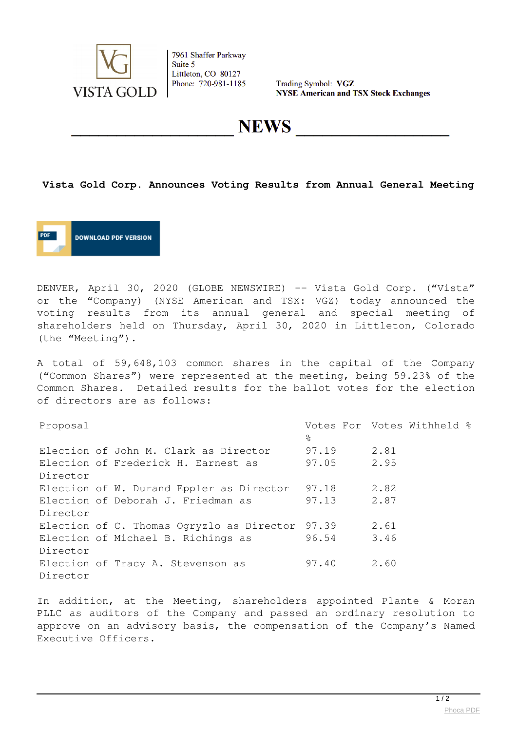

7961 Shaffer Parkway Suite 5 Littleton, CO 80127 Phone: 720-981-1185

Trading Symbol: VGZ **NYSE American and TSX Stock Exchanges** 

**NEWS** 

## **Vista Gold Corp. Announces Voting Results from Annual General Meeting**

**DOWNLOAD PDF VERSION** 

DENVER, April 30, 2020 (GLOBE NEWSWIRE) -- Vista Gold Corp. ("Vista" or the "Company) (NYSE American and TSX: VGZ) today announced the voting results from its annual general and special meeting of shareholders held on Thursday, April 30, 2020 in Littleton, Colorado (the "Meeting").

A total of 59,648,103 common shares in the capital of the Company ("Common Shares") were represented at the meeting, being 59.23% of the Common Shares. Detailed results for the ballot votes for the election of directors are as follows:

| Proposal |                                                 |       |      | Votes For Votes Withheld % |  |
|----------|-------------------------------------------------|-------|------|----------------------------|--|
|          |                                                 | ိင    |      |                            |  |
|          | Election of John M. Clark as Director           | 97.19 | 2.81 |                            |  |
|          | Election of Frederick H. Earnest as             | 97.05 | 2.95 |                            |  |
| Director |                                                 |       |      |                            |  |
|          | Election of W. Durand Eppler as Director        | 97.18 | 2.82 |                            |  |
|          | Election of Deborah J. Friedman as              | 97.13 | 2.87 |                            |  |
| Director |                                                 |       |      |                            |  |
|          | Election of C. Thomas Ogryzlo as Director 97.39 |       | 2.61 |                            |  |
|          | Election of Michael B. Richings as              | 96.54 | 3.46 |                            |  |
| Director |                                                 |       |      |                            |  |
|          | Election of Tracy A. Stevenson as               | 97.40 | 2.60 |                            |  |
| Director |                                                 |       |      |                            |  |

In addition, at the Meeting, shareholders appointed Plante & Moran PLLC as auditors of the Company and passed an ordinary resolution to approve on an advisory basis, the compensation of the Company's Named Executive Officers.